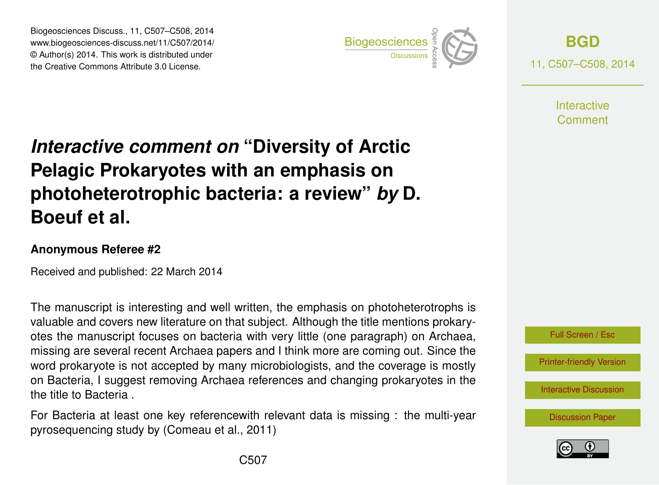Biogeosciences Discuss., 11, C507–C508, 2014 www.biogeosciences-discuss.net/11/C507/2014/ © Author(s) 2014. This work is distributed under Biogeosciences Discuss., 11, C507–C508, 2014<br>www.biogeosciences-discuss.net/11/C507/2014/<br>© Author(s) 2014. This work is distributed under<br>the Creative Commons Attribute 3.0 License.



**[BGD](http://www.biogeosciences-discuss.net)** 11, C507–C508, 2014

> **Interactive** Comment

## *Interactive comment on* **"Diversity of Arctic Pelagic Prokaryotes with an emphasis on photoheterotrophic bacteria: a review"** *by* **D. Boeuf et al.**

## **Anonymous Referee #2**

Received and published: 22 March 2014

The manuscript is interesting and well written, the emphasis on photoheterotrophs is valuable and covers new literature on that subject. Although the title mentions prokaryotes the manuscript focuses on bacteria with very little (one paragraph) on Archaea, missing are several recent Archaea papers and I think more are coming out. Since the word prokaryote is not accepted by many microbiologists, and the coverage is mostly on Bacteria, I suggest removing Archaea references and changing prokaryotes in the the title to Bacteria .

For Bacteria at least one key referencewith relevant data is missing : the multi-year pyrosequencing study by (Comeau et al., 2011)